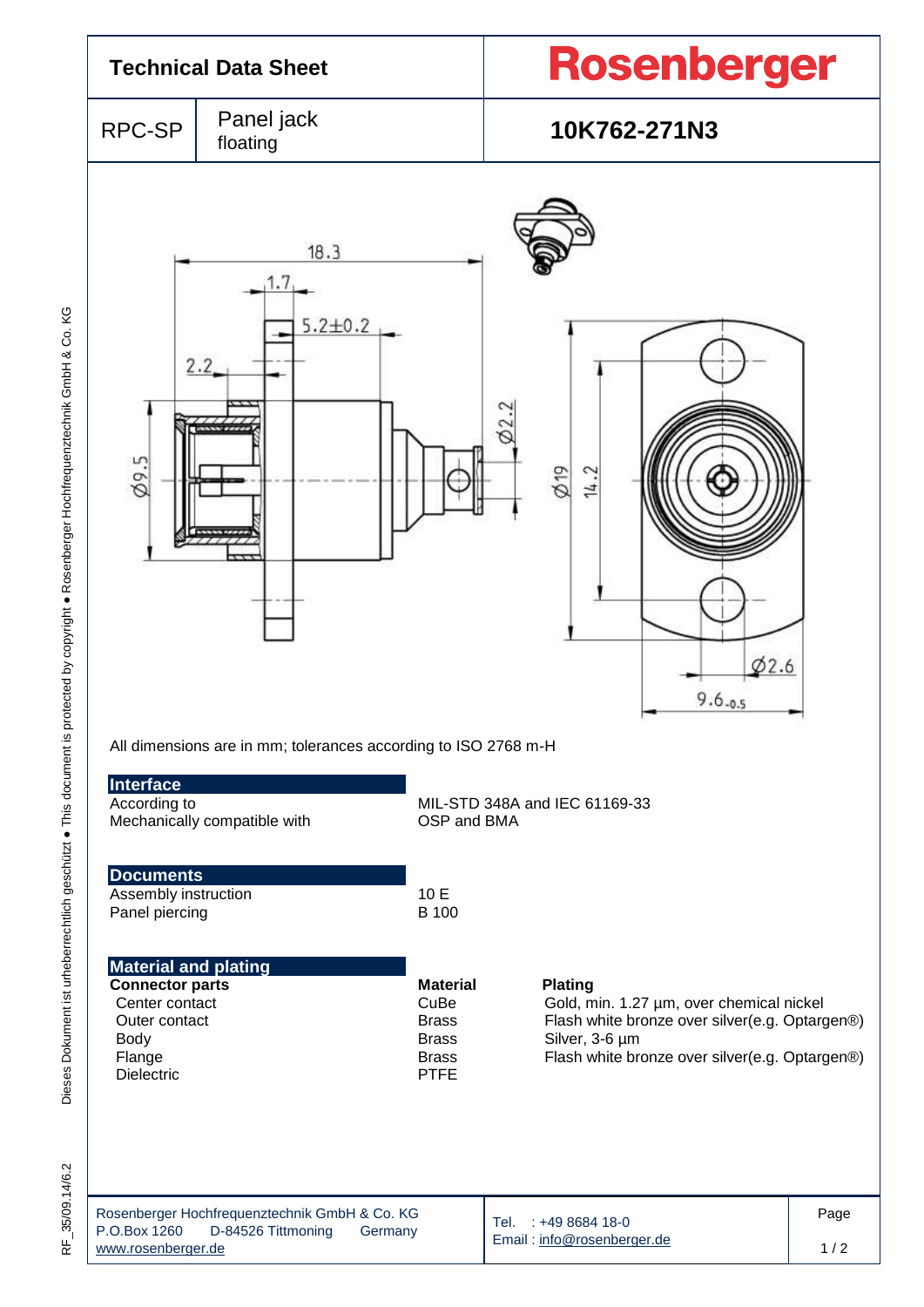| <b>Technical Data Sheet</b>                                                                                                     |                                                                                                                                | Rosenberger                                                                            |                                                                                                                                                                                  |             |  |
|---------------------------------------------------------------------------------------------------------------------------------|--------------------------------------------------------------------------------------------------------------------------------|----------------------------------------------------------------------------------------|----------------------------------------------------------------------------------------------------------------------------------------------------------------------------------|-------------|--|
| RPC-SP                                                                                                                          | Panel jack<br>floating                                                                                                         |                                                                                        | 10K762-271N3                                                                                                                                                                     |             |  |
| $\varnothing$ 9.5                                                                                                               | 18.3<br>1.7,<br>$5.2 + 0.2$<br>2.2<br><b>CASE AND IFICAT</b><br>All dimensions are in mm; tolerances according to ISO 2768 m-H |                                                                                        | 60<br>$\varnothing$ 19<br>14.2<br>62.6<br>$9.6 - 0.5$                                                                                                                            |             |  |
| Interface<br>According to                                                                                                       | Mechanically compatible with                                                                                                   | OSP and BMA                                                                            | MIL-STD 348A and IEC 61169-33                                                                                                                                                    |             |  |
| <b>Documents</b><br>Assembly instruction<br>Panel piercing                                                                      |                                                                                                                                | 10 E<br><b>B</b> 100                                                                   |                                                                                                                                                                                  |             |  |
| <b>Material and plating</b><br><b>Connector parts</b><br>Center contact<br>Outer contact<br>Body<br>Flange<br><b>Dielectric</b> |                                                                                                                                | <b>Material</b><br>CuBe<br><b>Brass</b><br><b>Brass</b><br><b>Brass</b><br><b>PTFE</b> | <b>Plating</b><br>Gold, min. 1.27 µm, over chemical nickel<br>Flash white bronze over silver(e.g. Optargen®)<br>Silver, 3-6 µm<br>Flash white bronze over silver(e.g. Optargen®) |             |  |
| P.O.Box 1260<br>www.rooophoraor.do                                                                                              | Rosenberger Hochfrequenztechnik GmbH & Co. KG<br>D-84526 Tittmoning<br>Germany                                                 |                                                                                        | Tel. : +49 8684 18-0<br>Email: info@rosenberger.de                                                                                                                               | Page<br>1/2 |  |

 $1/2$ 

[www.rosenberger.de](http://www.rosenberger.de/)